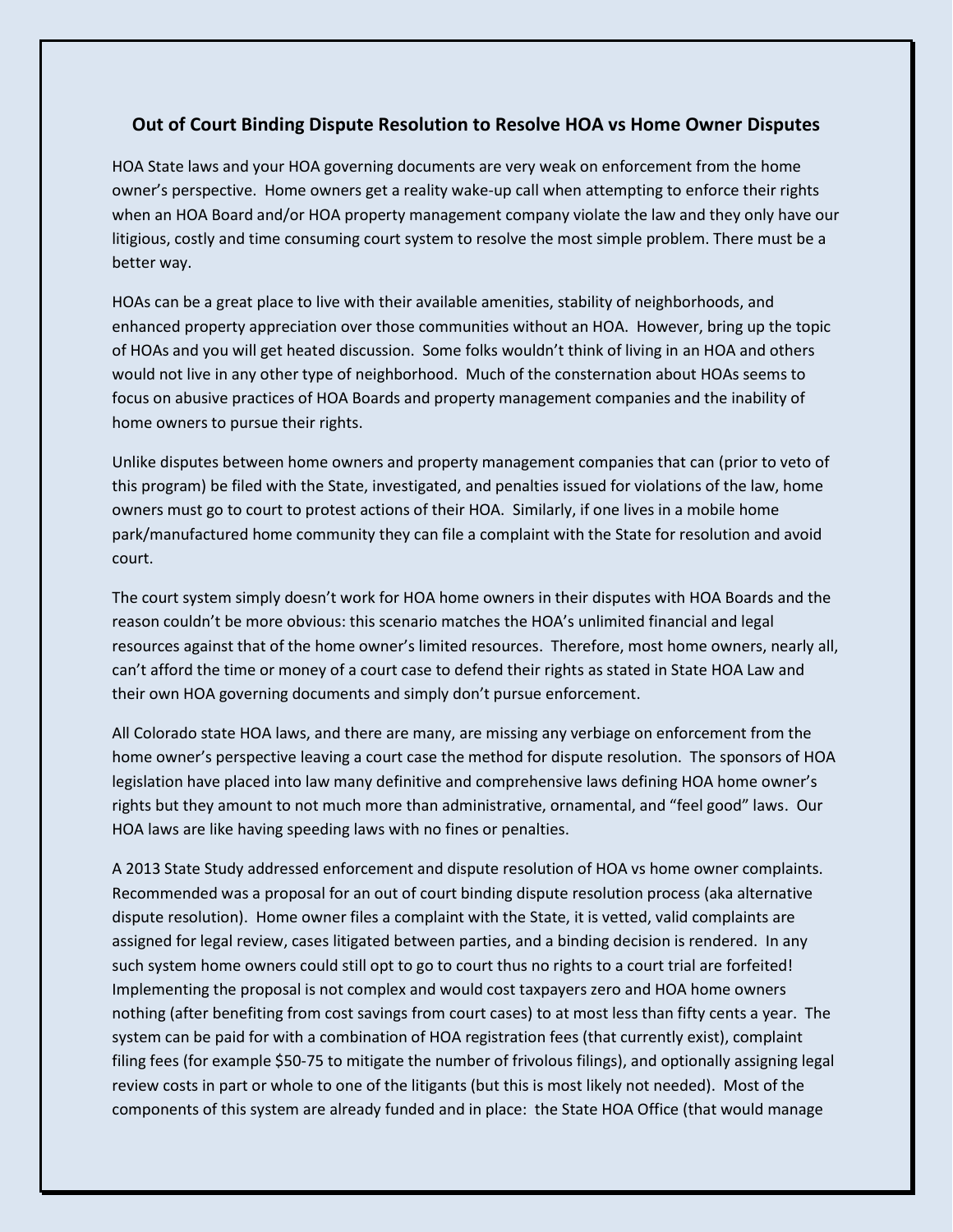## **Out of Court Binding Dispute Resolution to Resolve HOA vs Home Owner Disputes**

HOA State laws and your HOA governing documents are very weak on enforcement from the home owner's perspective. Home owners get a reality wake-up call when attempting to enforce their rights when an HOA Board and/or HOA property management company violate the law and they only have our litigious, costly and time consuming court system to resolve the most simple problem. There must be a better way.

HOAs can be a great place to live with their available amenities, stability of neighborhoods, and enhanced property appreciation over those communities without an HOA. However, bring up the topic of HOAs and you will get heated discussion. Some folks wouldn't think of living in an HOA and others would not live in any other type of neighborhood. Much of the consternation about HOAs seems to focus on abusive practices of HOA Boards and property management companies and the inability of home owners to pursue their rights.

Unlike disputes between home owners and property management companies that can (prior to veto of this program) be filed with the State, investigated, and penalties issued for violations of the law, home owners must go to court to protest actions of their HOA. Similarly, if one lives in a mobile home park/manufactured home community they can file a complaint with the State for resolution and avoid court.

The court system simply doesn't work for HOA home owners in their disputes with HOA Boards and the reason couldn't be more obvious: this scenario matches the HOA's unlimited financial and legal resources against that of the home owner's limited resources. Therefore, most home owners, nearly all, can't afford the time or money of a court case to defend their rights as stated in State HOA Law and their own HOA governing documents and simply don't pursue enforcement.

All Colorado state HOA laws, and there are many, are missing any verbiage on enforcement from the home owner's perspective leaving a court case the method for dispute resolution. The sponsors of HOA legislation have placed into law many definitive and comprehensive laws defining HOA home owner's rights but they amount to not much more than administrative, ornamental, and "feel good" laws. Our HOA laws are like having speeding laws with no fines or penalties.

A 2013 State Study addressed enforcement and dispute resolution of HOA vs home owner complaints. Recommended was a proposal for an out of court binding dispute resolution process (aka alternative dispute resolution). Home owner files a complaint with the State, it is vetted, valid complaints are assigned for legal review, cases litigated between parties, and a binding decision is rendered. In any such system home owners could still opt to go to court thus no rights to a court trial are forfeited! Implementing the proposal is not complex and would cost taxpayers zero and HOA home owners nothing (after benefiting from cost savings from court cases) to at most less than fifty cents a year. The system can be paid for with a combination of HOA registration fees (that currently exist), complaint filing fees (for example \$50-75 to mitigate the number of frivolous filings), and optionally assigning legal review costs in part or whole to one of the litigants (but this is most likely not needed). Most of the components of this system are already funded and in place: the State HOA Office (that would manage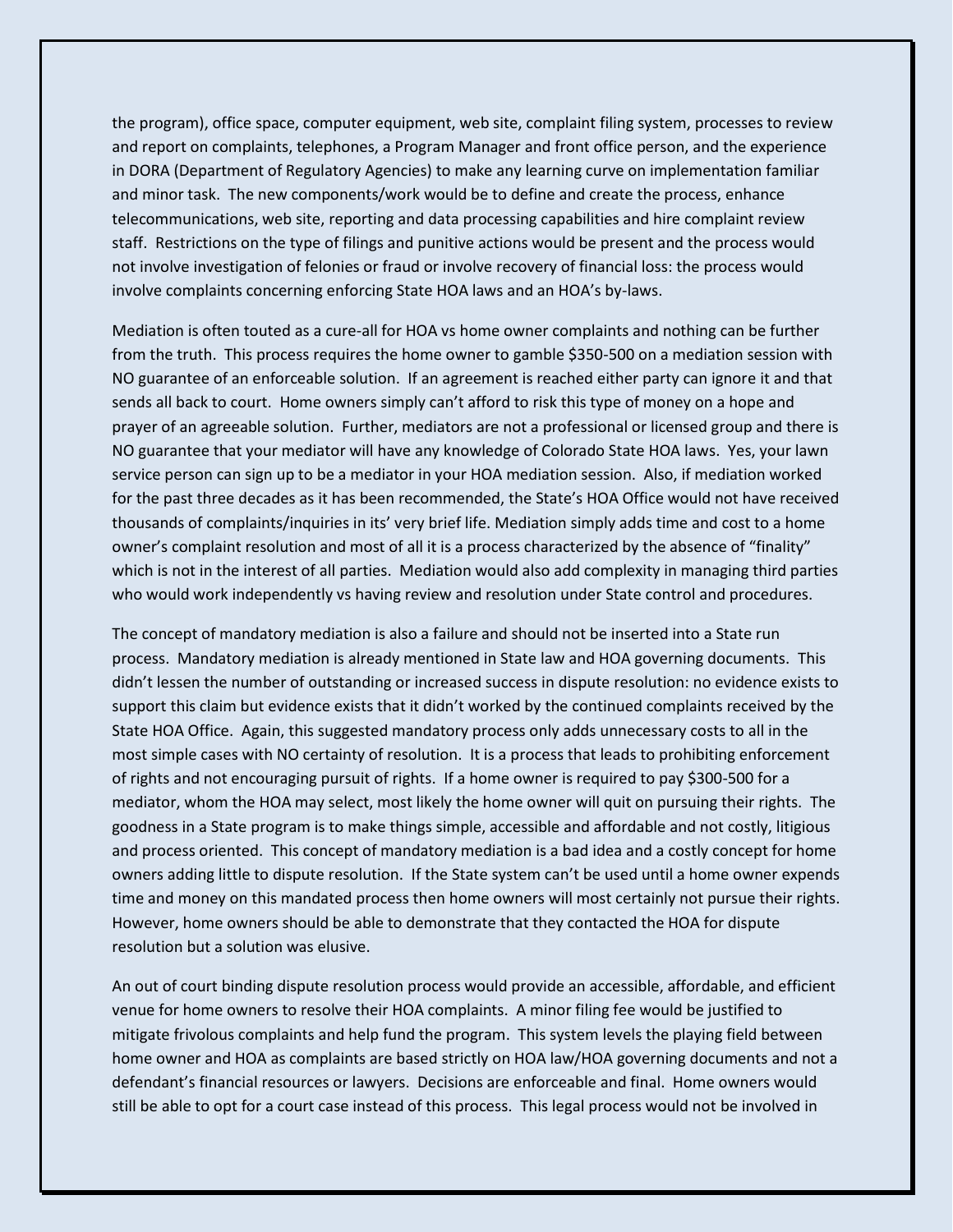the program), office space, computer equipment, web site, complaint filing system, processes to review and report on complaints, telephones, a Program Manager and front office person, and the experience in DORA (Department of Regulatory Agencies) to make any learning curve on implementation familiar and minor task. The new components/work would be to define and create the process, enhance telecommunications, web site, reporting and data processing capabilities and hire complaint review staff. Restrictions on the type of filings and punitive actions would be present and the process would not involve investigation of felonies or fraud or involve recovery of financial loss: the process would involve complaints concerning enforcing State HOA laws and an HOA's by-laws.

Mediation is often touted as a cure-all for HOA vs home owner complaints and nothing can be further from the truth. This process requires the home owner to gamble \$350-500 on a mediation session with NO guarantee of an enforceable solution. If an agreement is reached either party can ignore it and that sends all back to court. Home owners simply can't afford to risk this type of money on a hope and prayer of an agreeable solution. Further, mediators are not a professional or licensed group and there is NO guarantee that your mediator will have any knowledge of Colorado State HOA laws. Yes, your lawn service person can sign up to be a mediator in your HOA mediation session. Also, if mediation worked for the past three decades as it has been recommended, the State's HOA Office would not have received thousands of complaints/inquiries in its' very brief life. Mediation simply adds time and cost to a home owner's complaint resolution and most of all it is a process characterized by the absence of "finality" which is not in the interest of all parties. Mediation would also add complexity in managing third parties who would work independently vs having review and resolution under State control and procedures.

The concept of mandatory mediation is also a failure and should not be inserted into a State run process. Mandatory mediation is already mentioned in State law and HOA governing documents. This didn't lessen the number of outstanding or increased success in dispute resolution: no evidence exists to support this claim but evidence exists that it didn't worked by the continued complaints received by the State HOA Office. Again, this suggested mandatory process only adds unnecessary costs to all in the most simple cases with NO certainty of resolution. It is a process that leads to prohibiting enforcement of rights and not encouraging pursuit of rights. If a home owner is required to pay \$300-500 for a mediator, whom the HOA may select, most likely the home owner will quit on pursuing their rights. The goodness in a State program is to make things simple, accessible and affordable and not costly, litigious and process oriented. This concept of mandatory mediation is a bad idea and a costly concept for home owners adding little to dispute resolution. If the State system can't be used until a home owner expends time and money on this mandated process then home owners will most certainly not pursue their rights. However, home owners should be able to demonstrate that they contacted the HOA for dispute resolution but a solution was elusive.

An out of court binding dispute resolution process would provide an accessible, affordable, and efficient venue for home owners to resolve their HOA complaints. A minor filing fee would be justified to mitigate frivolous complaints and help fund the program. This system levels the playing field between home owner and HOA as complaints are based strictly on HOA law/HOA governing documents and not a defendant's financial resources or lawyers. Decisions are enforceable and final. Home owners would still be able to opt for a court case instead of this process. This legal process would not be involved in